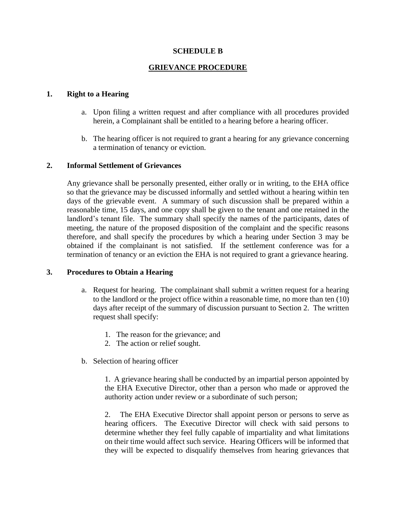## **SCHEDULE B**

# **GRIEVANCE PROCEDURE**

## **1. Right to a Hearing**

- a. Upon filing a written request and after compliance with all procedures provided herein, a Complainant shall be entitled to a hearing before a hearing officer.
- b. The hearing officer is not required to grant a hearing for any grievance concerning a termination of tenancy or eviction.

### **2. Informal Settlement of Grievances**

Any grievance shall be personally presented, either orally or in writing, to the EHA office so that the grievance may be discussed informally and settled without a hearing within ten days of the grievable event. A summary of such discussion shall be prepared within a reasonable time, 15 days, and one copy shall be given to the tenant and one retained in the landlord's tenant file. The summary shall specify the names of the participants, dates of meeting, the nature of the proposed disposition of the complaint and the specific reasons therefore, and shall specify the procedures by which a hearing under Section 3 may be obtained if the complainant is not satisfied. If the settlement conference was for a termination of tenancy or an eviction the EHA is not required to grant a grievance hearing.

#### **3. Procedures to Obtain a Hearing**

- a. Request for hearing. The complainant shall submit a written request for a hearing to the landlord or the project office within a reasonable time, no more than ten (10) days after receipt of the summary of discussion pursuant to Section 2. The written request shall specify:
	- 1. The reason for the grievance; and
	- 2. The action or relief sought.
- b. Selection of hearing officer

1. A grievance hearing shall be conducted by an impartial person appointed by the EHA Executive Director, other than a person who made or approved the authority action under review or a subordinate of such person;

2. The EHA Executive Director shall appoint person or persons to serve as hearing officers. The Executive Director will check with said persons to determine whether they feel fully capable of impartiality and what limitations on their time would affect such service. Hearing Officers will be informed that they will be expected to disqualify themselves from hearing grievances that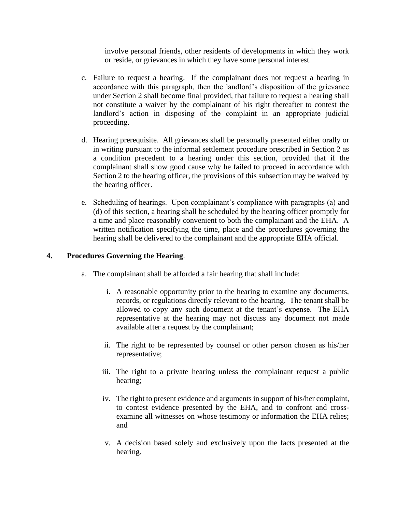involve personal friends, other residents of developments in which they work or reside, or grievances in which they have some personal interest.

- c. Failure to request a hearing. If the complainant does not request a hearing in accordance with this paragraph, then the landlord's disposition of the grievance under Section 2 shall become final provided, that failure to request a hearing shall not constitute a waiver by the complainant of his right thereafter to contest the landlord's action in disposing of the complaint in an appropriate judicial proceeding.
- d. Hearing prerequisite. All grievances shall be personally presented either orally or in writing pursuant to the informal settlement procedure prescribed in Section 2 as a condition precedent to a hearing under this section, provided that if the complainant shall show good cause why he failed to proceed in accordance with Section 2 to the hearing officer, the provisions of this subsection may be waived by the hearing officer.
- e. Scheduling of hearings. Upon complainant's compliance with paragraphs (a) and (d) of this section, a hearing shall be scheduled by the hearing officer promptly for a time and place reasonably convenient to both the complainant and the EHA. A written notification specifying the time, place and the procedures governing the hearing shall be delivered to the complainant and the appropriate EHA official.

# **4. Procedures Governing the Hearing**.

- a. The complainant shall be afforded a fair hearing that shall include:
	- i. A reasonable opportunity prior to the hearing to examine any documents, records, or regulations directly relevant to the hearing. The tenant shall be allowed to copy any such document at the tenant's expense. The EHA representative at the hearing may not discuss any document not made available after a request by the complainant;
	- ii. The right to be represented by counsel or other person chosen as his/her representative;
	- iii. The right to a private hearing unless the complainant request a public hearing;
	- iv. The right to present evidence and arguments in support of his/her complaint, to contest evidence presented by the EHA, and to confront and crossexamine all witnesses on whose testimony or information the EHA relies; and
	- v. A decision based solely and exclusively upon the facts presented at the hearing.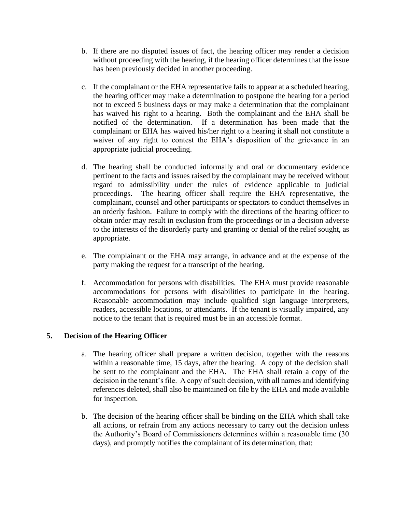- b. If there are no disputed issues of fact, the hearing officer may render a decision without proceeding with the hearing, if the hearing officer determines that the issue has been previously decided in another proceeding.
- c. If the complainant or the EHA representative fails to appear at a scheduled hearing, the hearing officer may make a determination to postpone the hearing for a period not to exceed 5 business days or may make a determination that the complainant has waived his right to a hearing. Both the complainant and the EHA shall be notified of the determination. If a determination has been made that the complainant or EHA has waived his/her right to a hearing it shall not constitute a waiver of any right to contest the EHA's disposition of the grievance in an appropriate judicial proceeding.
- d. The hearing shall be conducted informally and oral or documentary evidence pertinent to the facts and issues raised by the complainant may be received without regard to admissibility under the rules of evidence applicable to judicial proceedings. The hearing officer shall require the EHA representative, the complainant, counsel and other participants or spectators to conduct themselves in an orderly fashion. Failure to comply with the directions of the hearing officer to obtain order may result in exclusion from the proceedings or in a decision adverse to the interests of the disorderly party and granting or denial of the relief sought, as appropriate.
- e. The complainant or the EHA may arrange, in advance and at the expense of the party making the request for a transcript of the hearing.
- f. Accommodation for persons with disabilities. The EHA must provide reasonable accommodations for persons with disabilities to participate in the hearing. Reasonable accommodation may include qualified sign language interpreters, readers, accessible locations, or attendants. If the tenant is visually impaired, any notice to the tenant that is required must be in an accessible format.

# **5. Decision of the Hearing Officer**

- a. The hearing officer shall prepare a written decision, together with the reasons within a reasonable time, 15 days, after the hearing. A copy of the decision shall be sent to the complainant and the EHA. The EHA shall retain a copy of the decision in the tenant's file. A copy of such decision, with all names and identifying references deleted, shall also be maintained on file by the EHA and made available for inspection.
- b. The decision of the hearing officer shall be binding on the EHA which shall take all actions, or refrain from any actions necessary to carry out the decision unless the Authority's Board of Commissioners determines within a reasonable time (30 days), and promptly notifies the complainant of its determination, that: